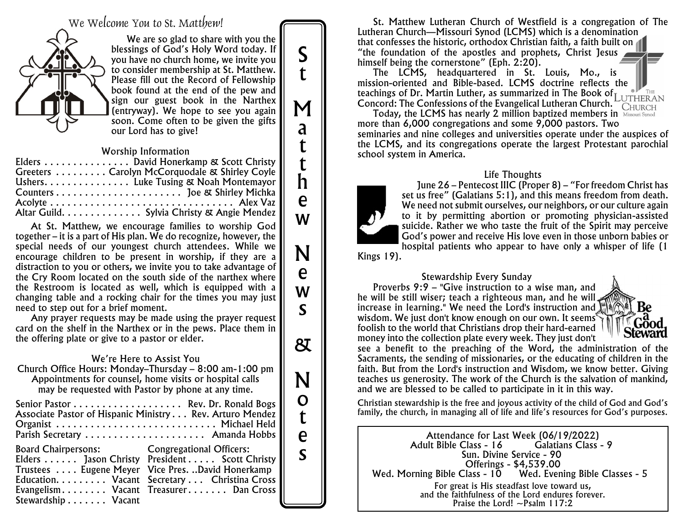We Welcome You to St. Matthew!



We are so glad to share with you the blessings of God's Holy Word today. If you have no church home, we invite you to consider membership at St. Matthew. Please fill out the Record of Fellowship book found at the end of the pew and sign our guest book in the Narthex (entryway). We hope to see you again soon. Come often to be given the gifts our Lord has to give!

#### *Worship Information*

| Elders David Honerkamp & Scott Christy         |
|------------------------------------------------|
| Greeters  Carolyn McCorquodale & Shirley Coyle |
| Ushers. Luke Tusing & Noah Montemayor          |
|                                                |
|                                                |
| Altar Guild. Sylvia Christy & Angie Mendez     |

At St. Matthew, we encourage families to worship God together – it is a part of His plan. We do recognize, however, the special needs of our youngest church attendees. While we encourage children to be present in worship, if they are a distraction to you or others, we invite you to take advantage of the Cry Room located on the south side of the narthex where the Restroom is located as well, which is equipped with a changing table and a rocking chair for the times you may just need to step out for a brief moment.

Any prayer requests may be made using the prayer request card on the shelf in the Narthex or in the pews. Place them in the offering plate or give to a pastor or elder.

#### *We're Here to Assist You*

Church Office Hours: Monday–Thursday – 8:00 am-1:00 pm Appointments for counsel, home visits or hospital calls may be requested with Pastor by phone at any time.

|                                                          | Senior Pastor  Rev. Dr. Ronald Bogs               |  |
|----------------------------------------------------------|---------------------------------------------------|--|
| Associate Pastor of Hispanic Ministry Rev. Arturo Mendez |                                                   |  |
| Organist  Michael Held                                   |                                                   |  |
|                                                          | Parish Secretary  Amanda Hobbs                    |  |
| <b>Board Chairpersons:</b> Congregational Officers:      |                                                   |  |
|                                                          | Elders Jason Christy President Scott Christy      |  |
|                                                          | Trustees  Eugene Meyer Vice Pres. David Honerkamp |  |
|                                                          | Education. Vacant Secretary Christina Cross       |  |
|                                                          | Evangelism Vacant Treasurer Dan Cross             |  |
| Stewardship Vacant                                       |                                                   |  |

St. Matthew Lutheran Church of Westfield is a congregation of The Lutheran Church—Missouri Synod (LCMS) which is a denomination that confesses the historic, orthodox Christian faith, a faith built on "the foundation of the apostles and prophets, Christ Jesus himself being the cornerstone" (Eph. 2:20).

The LCMS, headquartered in St. Louis, Mo., is mission-oriented and Bible-based. LCMS doctrine reflects the teachings of Dr. Martin Luther, as summarized in The *Book of Concord: The Confessions of the Evangelical Lutheran Church.*

Today, the LCMS has nearly 2 million baptized members in Missouri Synod more than 6,000 congregations and some 9,000 pastors. Two seminaries and nine colleges and universities operate under the auspices of the LCMS, and its congregations operate the largest Protestant parochial school system in America.

#### *Life Thoughts*



S

t

M

a

t t h

e

w

N

e

w

s

&

N

o t

e s

June 26 – Pentecost IIIC (Proper 8) – "For freedom Christ has set us free" (Galatians 5:1), and this means freedom from death. We need not submit ourselves, our neighbors, or our culture again to it by permitting abortion or promoting physician-assisted suicide. Rather we who taste the fruit of the Spirit may perceive God's power and receive His love even in those unborn babies or hospital patients who appear to have only a whisper of life (1

Kings 19).

*Stewardship Every Sunday* Proverbs 9:9 – "Give instruction to a wise man, and he will be still wiser; teach a righteous man, and he will increase in learning." We need the Lord's instruction and wisdom. We just don't know enough on our own. It seems<sup>®</sup> foolish to the world that Christians drop their hard-earned money into the collection plate every week. They just don't



see a benefit to the preaching of the Word, the administration of the Sacraments, the sending of missionaries, or the educating of children in the faith. But from the Lord's instruction and Wisdom, we know better. Giving teaches us generosity. The work of the Church is the salvation of mankind, and we are blessed to be called to participate in it in this way.

*Christian stewardship is the free and joyous activity of the child of God and God's family, the church, in managing all of life and life's resources for God's purposes.*

Attendance for Last Week (06/19/2022) Adult Bible Class - 16 Sun. Divine Service - 90 Offerings - \$4,539.00<br>Wed. Morning Bible Class - 10 Wed. Even Wed. Evening Bible Classes - 5 *For great is His steadfast love toward us, and the faithfulness of the Lord endures forever. Praise the Lord! ~Psalm 117:2*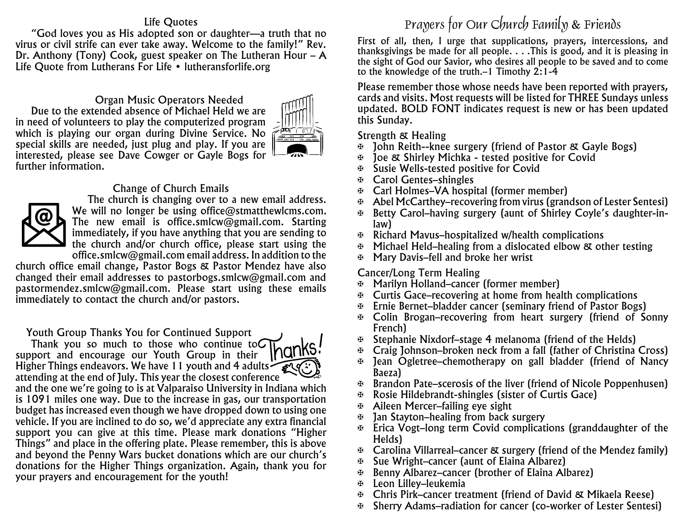#### *Life Quotes*

"God loves you as His adopted son or daughter—a truth that no virus or civil strife can ever take away. Welcome to the family!" Rev. Dr. Anthony (Tony) Cook, guest speaker on The Lutheran Hour – A Life Quote from Lutherans For Life • lutheransforlife.org

*Organ Music Operators Needed* Due to the extended absence of Michael Held we are in need of volunteers to play the computerized program which is playing our organ during Divine Service. No special skills are needed, just plug and play. If you are interested, please see Dave Cowger or Gayle Bogs for further information.



#### *Change of Church Emails*



The church is changing over to a new email address. We will no longer be using office@stmatthewlcms.com. The new email is office.smlcw@gmail.com. Starting immediately, if you have anything that you are sending to the church and/or church office, please start using the office.smlcw@gmail.com email address. In addition to the

church office email change, Pastor Bogs & Pastor Mendez have also changed their email addresses to pastorbogs.smlcw@gmail.com and pastormendez.smlcw@gmail.com. Please start using these emails immediately to contact the church and/or pastors.

*Youth Group Thanks You for Continued Support*

Thank you so much to those who continue to  $\Omega$ <u>Inar</u> support and encourage our Youth Group in their Higher Things endeavors. We have 11 youth and 4 adults attending at the end of July. This year the closest conference and the one we're going to is at Valparaiso University in Indiana which is 1091 miles one way. Due to the increase in gas, our transportation budget has increased even though we have dropped down to using one vehicle. If you are inclined to do so, we'd appreciate any extra financial support you can give at this time. Please mark donations "Higher Things" and place in the offering plate. Please remember, this is above and beyond the Penny Wars bucket donations which are our church's donations for the Higher Things organization. Again, thank you for your prayers and encouragement for the youth!

## Prayers for Our Church Family & Friends

*First of all, then, I urge that supplications, prayers, intercessions, and thanksgivings be made for all people. . . .This is good, and it is pleasing in the sight of God our Savior, who desires all people to be saved and to come to the knowledge of the truth.–1 Timothy 2:1-4*

Please remember those whose needs have been reported with prayers, cards and visits. Most requests will be listed for *THREE* Sundays unless updated. BOLD FONT indicates request is new or has been updated this Sunday.

#### *Strength & Healing*

- a John Reith--knee surgery (friend of Pastor & Gayle Bogs)
- a Joe & Shirley Michka tested positive for Covid
- a Susie Wells-tested positive for Covid
- a Carol Gentes–shingles
- a Carl Holmes–VA hospital (former member)
- $\oplus$  Abel McCarthey–recovering from virus (grandson of Lester Sentesi)
- a Betty Carol–having surgery (aunt of Shirley Coyle's daughter-inlaw)
- $\mathbb F$  Richard Mavus–hospitalized w/health complications
- Michael Held–healing from a dislocated elbow & other testing
- a Mary Davis–fell and broke her wrist

## *Cancer/Long Term Healing*

- a Marilyn Holland–cancer (former member)
- $\mathbb F$  Curtis Gace–recovering at home from health complications
- a Ernie Bernet–bladder cancer (seminary friend of Pastor Bogs)
- a Colin Brogan–recovering from heart surgery (friend of Sonny French)
- $\Phi$  Stephanie Nixdorf–stage 4 melanoma (friend of the Helds)
- a Craig Johnson–broken neck from a fall (father of Christina Cross)
- $\mathfrak{B}$  Jean Ogletree–chemotherapy on gall bladder (friend of Nancy Baeza)
- a Brandon Pate–scerosis of the liver (friend of Nicole Poppenhusen)
- a Rosie Hildebrandt-shingles (sister of Curtis Gace)
- a Aileen Mercer–failing eye sight
- $\mathbb F$  Jan Stayton–healing from back surgery
- $\Phi$  Erica Vogt–long term Covid complications (granddaughter of the Helds)
- $\mathfrak{B}$  Carolina Villarreal–cancer & surgery (friend of the Mendez family)
- Sue Wright–cancer (aunt of Elaina Albarez)
- a Benny Albarez–cancer (brother of Elaina Albarez)
- a Leon Lilley–leukemia
- a Chris Pirk–cancer treatment (friend of David & Mikaela Reese)
- a Sherry Adams–radiation for cancer (co-worker of Lester Sentesi)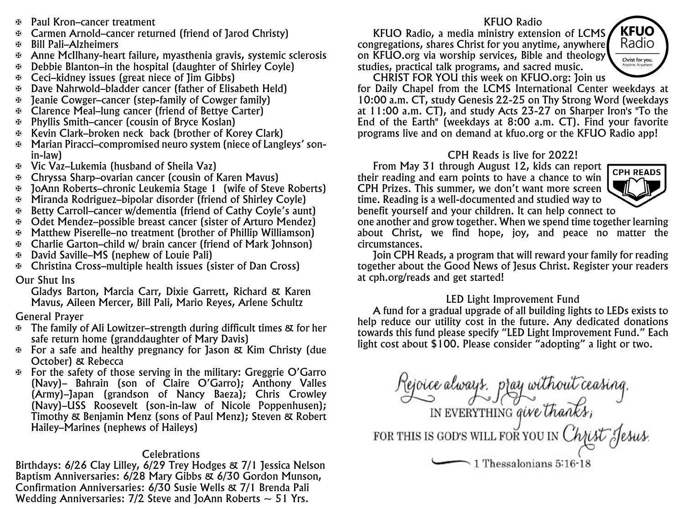- a Paul Kron–cancer treatment
- a Carmen Arnold–cancer returned (friend of Jarod Christy)
- a Bill Pali–Alzheimers
- a Anne McIlhany-heart failure, myasthenia gravis, systemic sclerosis
- a Debbie Blanton–in the hospital (daughter of Shirley Coyle)
- a Ceci–kidney issues (great niece of Jim Gibbs)
- a Dave Nahrwold–bladder cancer (father of Elisabeth Held)
- a Jeanie Cowger–cancer (step-family of Cowger family)
- a Clarence Meal–lung cancer (friend of Bettye Carter)
- a Phyllis Smith–cancer (cousin of Bryce Koslan)
- a Kevin Clark–broken neck back (brother of Korey Clark)
- a Marian Piracci–compromised neuro system (niece of Langleys' sonin-law)
- a Vic Vaz–Lukemia (husband of Sheila Vaz)
- a Chryssa Sharp–ovarian cancer (cousin of Karen Mavus)
- a JoAnn Roberts–chronic Leukemia Stage 1 (wife of Steve Roberts)
- a Miranda Rodriguez–bipolar disorder (friend of Shirley Coyle)
- a Betty Carroll–cancer w/dementia (friend of Cathy Coyle's aunt)
- a Odet Mendez–possible breast cancer (sister of Arturo Mendez)
- a Matthew Piserelle–no treatment (brother of Phillip Williamson)
- a Charlie Garton–child w/ brain cancer (friend of Mark Johnson)
- a David Saville–MS (nephew of Louie Pali)
- a Christina Cross–multiple health issues (sister of Dan Cross)

## *Our Shut Ins*

Gladys Barton, Marcia Carr, Dixie Garrett, Richard & Karen Mavus, Aileen Mercer, Bill Pali, Mario Reyes, Arlene Schultz

## *General Prayer*

- $\mathbb F$  The family of Ali Lowitzer–strength during difficult times & for her safe return home (granddaughter of Mary Davis)
- a For a safe and healthy pregnancy for Jason & Kim Christy (due October) & Rebecca
- $\Phi$  For the safety of those serving in the military: Greggrie O'Garro (Navy)– Bahrain (son of Claire O'Garro); Anthony Valles (Army)–Japan (grandson of Nancy Baeza); Chris Crowley (Navy)–USS Roosevelt (son-in-law of Nicole Poppenhusen); Timothy & Benjamin Menz (sons of Paul Menz); Steven & Robert Hailey–Marines (nephews of Haileys)

## *Celebrations*

Birthdays: 6/26 Clay Lilley, 6/29 Trey Hodges & 7/1 Jessica Nelson Baptism Anniversaries: 6/28 Mary Gibbs & 6/30 Gordon Munson, Confirmation Anniversaries: 6/30 Susie Wells & 7/1 Brenda Pali Wedding Anniversaries:  $7/2$  Steve and JoAnn Roberts  $\sim$  51 Yrs.

## *KFUO Radio*

KFUO Radio, a media ministry extension of LCMS congregations, shares Christ for you anytime, anywhere on KFUO.org via worship services, Bible and theology studies, practical talk programs, and sacred music.



CHRIST FOR YOU this week on KFUO.org: Join us for Daily Chapel from the LCMS International Center weekdays at 10:00 a.m. CT, study Genesis 22-25 on Thy Strong Word (weekdays at 11:00 a.m. CT), and study Acts 23-27 on Sharper Iron's "To the End of the Earth" (weekdays at 8:00 a.m. CT). Find your favorite programs live and on demand at kfuo.org or the KFUO Radio app!

## *CPH Reads is live for 2022!*

From May 31 through August 12, kids can report their reading and earn points to have a chance to win CPH Prizes. This summer, we don't want more screen time. Reading is a well-documented and studied way to benefit yourself and your children. It can help connect to



one another and grow together. When we spend time together learning about Christ, we find hope, joy, and peace no matter the circumstances.

Join CPH Reads, a program that will reward your family for reading together about the Good News of Jesus Christ. Register your readers at cph.org/reads and get started!

## *LED Light Improvement Fund*

A fund for a gradual upgrade of all building lights to LEDs exists to help reduce our utility cost in the future. Any dedicated donations towards this fund please specify "LED Light Improvement Fund." Each light cost about \$100. Please consider "adopting" a light or two.

Rejoice always, pray without ceasing.<br>IN EVERYTHING give thanks,<br>FOR THIS IS GOD'S WILL FOR YOU IN Christ Jesus.  $\sim$  1 Thessalonians 5:16-1